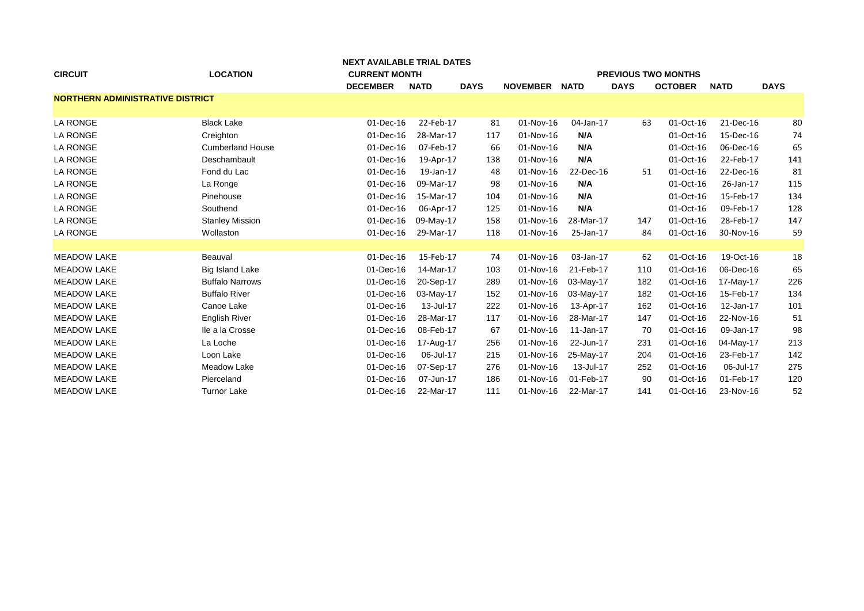|                                         | <b>NEXT AVAILABLE TRIAL DATES</b> |                      |             |                            |                 |             |             |                |             |             |
|-----------------------------------------|-----------------------------------|----------------------|-------------|----------------------------|-----------------|-------------|-------------|----------------|-------------|-------------|
| <b>CIRCUIT</b>                          | <b>LOCATION</b>                   | <b>CURRENT MONTH</b> |             | <b>PREVIOUS TWO MONTHS</b> |                 |             |             |                |             |             |
|                                         |                                   | <b>DECEMBER</b>      | <b>NATD</b> | <b>DAYS</b>                | <b>NOVEMBER</b> | <b>NATD</b> | <b>DAYS</b> | <b>OCTOBER</b> | <b>NATD</b> | <b>DAYS</b> |
| <b>NORTHERN ADMINISTRATIVE DISTRICT</b> |                                   |                      |             |                            |                 |             |             |                |             |             |
|                                         |                                   |                      |             |                            |                 |             |             |                |             |             |
| <b>LA RONGE</b>                         | <b>Black Lake</b>                 | 01-Dec-16            | 22-Feb-17   | 81                         | 01-Nov-16       | 04-Jan-17   | 63          | 01-Oct-16      | 21-Dec-16   | 80          |
| <b>LA RONGE</b>                         | Creighton                         | 01-Dec-16            | 28-Mar-17   | 117                        | 01-Nov-16       | N/A         |             | 01-Oct-16      | 15-Dec-16   | 74          |
| <b>LA RONGE</b>                         | <b>Cumberland House</b>           | 01-Dec-16            | 07-Feb-17   | 66                         | 01-Nov-16       | N/A         |             | 01-Oct-16      | 06-Dec-16   | 65          |
| <b>LA RONGE</b>                         | Deschambault                      | 01-Dec-16            | 19-Apr-17   | 138                        | 01-Nov-16       | N/A         |             | 01-Oct-16      | 22-Feb-17   | 141         |
| <b>LA RONGE</b>                         | Fond du Lac                       | 01-Dec-16            | 19-Jan-17   | 48                         | 01-Nov-16       | 22-Dec-16   | 51          | 01-Oct-16      | 22-Dec-16   | 81          |
| LA RONGE                                | La Ronge                          | 01-Dec-16            | 09-Mar-17   | 98                         | 01-Nov-16       | N/A         |             | 01-Oct-16      | 26-Jan-17   | 115         |
| <b>LA RONGE</b>                         | Pinehouse                         | 01-Dec-16            | 15-Mar-17   | 104                        | 01-Nov-16       | N/A         |             | 01-Oct-16      | 15-Feb-17   | 134         |
| <b>LA RONGE</b>                         | Southend                          | 01-Dec-16            | 06-Apr-17   | 125                        | 01-Nov-16       | N/A         |             | 01-Oct-16      | 09-Feb-17   | 128         |
| <b>LA RONGE</b>                         | <b>Stanley Mission</b>            | 01-Dec-16            | 09-May-17   | 158                        | 01-Nov-16       | 28-Mar-17   | 147         | 01-Oct-16      | 28-Feb-17   | 147         |
| <b>LA RONGE</b>                         | Wollaston                         | 01-Dec-16            | 29-Mar-17   | 118                        | 01-Nov-16       | 25-Jan-17   | 84          | 01-Oct-16      | 30-Nov-16   | 59          |
|                                         |                                   |                      |             |                            |                 |             |             |                |             |             |
| <b>MEADOW LAKE</b>                      | Beauval                           | $01$ -Dec-16         | 15-Feb-17   | 74                         | 01-Nov-16       | 03-Jan-17   | 62          | 01-Oct-16      | 19-Oct-16   | 18          |
| <b>MEADOW LAKE</b>                      | <b>Big Island Lake</b>            | 01-Dec-16            | 14-Mar-17   | 103                        | 01-Nov-16       | 21-Feb-17   | 110         | 01-Oct-16      | 06-Dec-16   | 65          |
| <b>MEADOW LAKE</b>                      | <b>Buffalo Narrows</b>            | 01-Dec-16            | 20-Sep-17   | 289                        | 01-Nov-16       | 03-May-17   | 182         | 01-Oct-16      | 17-May-17   | 226         |
| <b>MEADOW LAKE</b>                      | <b>Buffalo River</b>              | 01-Dec-16            | 03-May-17   | 152                        | 01-Nov-16       | 03-May-17   | 182         | 01-Oct-16      | 15-Feb-17   | 134         |
| <b>MEADOW LAKE</b>                      | Canoe Lake                        | 01-Dec-16            | 13-Jul-17   | 222                        | 01-Nov-16       | 13-Apr-17   | 162         | 01-Oct-16      | 12-Jan-17   | 101         |
| <b>MEADOW LAKE</b>                      | <b>English River</b>              | 01-Dec-16            | 28-Mar-17   | 117                        | 01-Nov-16       | 28-Mar-17   | 147         | 01-Oct-16      | 22-Nov-16   | 51          |
| <b>MEADOW LAKE</b>                      | Ile a la Crosse                   | 01-Dec-16            | 08-Feb-17   | 67                         | 01-Nov-16       | 11-Jan-17   | 70          | 01-Oct-16      | 09-Jan-17   | 98          |
| <b>MEADOW LAKE</b>                      | La Loche                          | 01-Dec-16            | 17-Aug-17   | 256                        | 01-Nov-16       | 22-Jun-17   | 231         | 01-Oct-16      | 04-May-17   | 213         |
| <b>MEADOW LAKE</b>                      | Loon Lake                         | 01-Dec-16            | 06-Jul-17   | 215                        | 01-Nov-16       | 25-May-17   | 204         | 01-Oct-16      | 23-Feb-17   | 142         |
| <b>MEADOW LAKE</b>                      | Meadow Lake                       | 01-Dec-16            | 07-Sep-17   | 276                        | 01-Nov-16       | 13-Jul-17   | 252         | 01-Oct-16      | 06-Jul-17   | 275         |
| <b>MEADOW LAKE</b>                      | Pierceland                        | 01-Dec-16            | 07-Jun-17   | 186                        | 01-Nov-16       | 01-Feb-17   | 90          | 01-Oct-16      | 01-Feb-17   | 120         |
| <b>MEADOW LAKE</b>                      | <b>Turnor Lake</b>                | 01-Dec-16            | 22-Mar-17   | 111                        | 01-Nov-16       | 22-Mar-17   | 141         | 01-Oct-16      | 23-Nov-16   | 52          |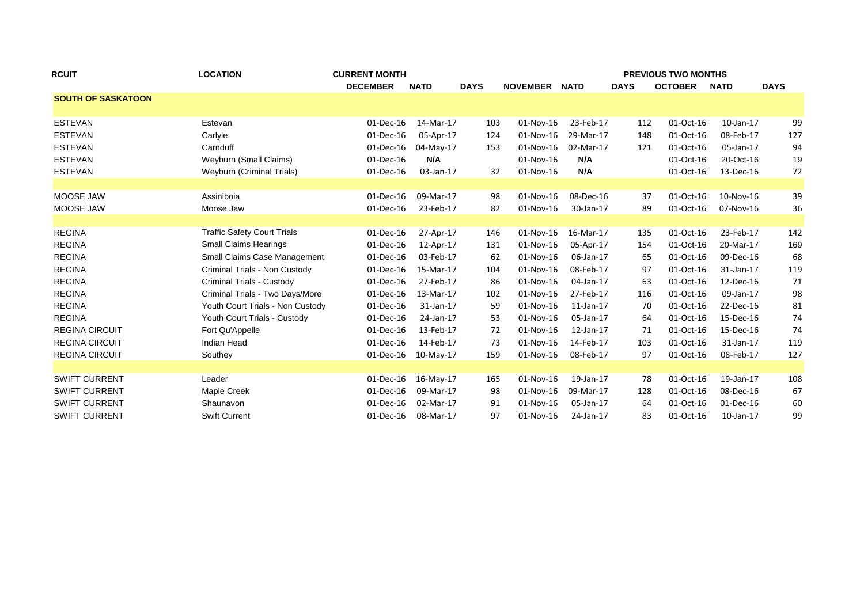| <b>RCUIT</b>              | <b>LOCATION</b>                     | <b>CURRENT MONTH</b> |             |             | <b>PREVIOUS TWO MONTHS</b> |                 |             |                |                 |             |  |  |
|---------------------------|-------------------------------------|----------------------|-------------|-------------|----------------------------|-----------------|-------------|----------------|-----------------|-------------|--|--|
|                           |                                     | <b>DECEMBER</b>      | <b>NATD</b> | <b>DAYS</b> | <b>NOVEMBER</b>            | <b>NATD</b>     | <b>DAYS</b> | <b>OCTOBER</b> | <b>NATD</b>     | <b>DAYS</b> |  |  |
| <b>SOUTH OF SASKATOON</b> |                                     |                      |             |             |                            |                 |             |                |                 |             |  |  |
| <b>ESTEVAN</b>            | Estevan                             | 01-Dec-16            | 14-Mar-17   | 103         | 01-Nov-16                  | 23-Feb-17       | 112         | 01-Oct-16      | $10$ -Jan- $17$ | 99          |  |  |
| <b>ESTEVAN</b>            | Carlyle                             | 01-Dec-16            | 05-Apr-17   | 124         | 01-Nov-16                  | 29-Mar-17       | 148         | 01-Oct-16      | 08-Feb-17       | 127         |  |  |
| <b>ESTEVAN</b>            | Carnduff                            | 01-Dec-16            | 04-May-17   | 153         | 01-Nov-16                  | 02-Mar-17       | 121         | 01-Oct-16      | 05-Jan-17       | 94          |  |  |
| <b>ESTEVAN</b>            | Weyburn (Small Claims)              | 01-Dec-16            | N/A         |             | 01-Nov-16                  | N/A             |             | 01-Oct-16      | 20-Oct-16       | 19          |  |  |
| <b>ESTEVAN</b>            | Weyburn (Criminal Trials)           | 01-Dec-16            | 03-Jan-17   | 32          | 01-Nov-16                  | N/A             |             | 01-Oct-16      | 13-Dec-16       | 72          |  |  |
|                           |                                     |                      |             |             |                            |                 |             |                |                 |             |  |  |
| MOOSE JAW                 | Assiniboia                          | 01-Dec-16            | 09-Mar-17   | 98          | 01-Nov-16                  | 08-Dec-16       | 37          | 01-Oct-16      | 10-Nov-16       | 39          |  |  |
| MOOSE JAW                 | Moose Jaw                           | 01-Dec-16            | 23-Feb-17   | 82          | 01-Nov-16                  | 30-Jan-17       | 89          | 01-Oct-16      | 07-Nov-16       | 36          |  |  |
| <b>REGINA</b>             | <b>Traffic Safety Court Trials</b>  | 01-Dec-16            | 27-Apr-17   | 146         | 01-Nov-16                  | 16-Mar-17       | 135         | 01-Oct-16      | 23-Feb-17       | 142         |  |  |
| <b>REGINA</b>             | <b>Small Claims Hearings</b>        | 01-Dec-16            | 12-Apr-17   | 131         | 01-Nov-16                  | 05-Apr-17       | 154         | 01-Oct-16      | 20-Mar-17       | 169         |  |  |
| <b>REGINA</b>             | <b>Small Claims Case Management</b> | 01-Dec-16            | 03-Feb-17   | 62          | 01-Nov-16                  | 06-Jan-17       | 65          | 01-Oct-16      | 09-Dec-16       | 68          |  |  |
| <b>REGINA</b>             | Criminal Trials - Non Custody       | 01-Dec-16            | 15-Mar-17   | 104         | 01-Nov-16                  | 08-Feb-17       | 97          | 01-Oct-16      | 31-Jan-17       | 119         |  |  |
| <b>REGINA</b>             | Criminal Trials - Custody           | 01-Dec-16            | 27-Feb-17   | 86          | 01-Nov-16                  | 04-Jan-17       | 63          | 01-Oct-16      | 12-Dec-16       | 71          |  |  |
| <b>REGINA</b>             | Criminal Trials - Two Days/More     | 01-Dec-16            | 13-Mar-17   | 102         | 01-Nov-16                  | 27-Feb-17       | 116         | 01-Oct-16      | 09-Jan-17       | 98          |  |  |
| <b>REGINA</b>             | Youth Court Trials - Non Custody    | 01-Dec-16            | 31-Jan-17   | 59          | 01-Nov-16                  | $11$ -Jan- $17$ | 70          | 01-Oct-16      | 22-Dec-16       | 81          |  |  |
| <b>REGINA</b>             | Youth Court Trials - Custody        | 01-Dec-16            | 24-Jan-17   | 53          | 01-Nov-16                  | 05-Jan-17       | 64          | 01-Oct-16      | 15-Dec-16       | 74          |  |  |
| <b>REGINA CIRCUIT</b>     | Fort Qu'Appelle                     | 01-Dec-16            | 13-Feb-17   | 72          | 01-Nov-16                  | 12-Jan-17       | 71          | 01-Oct-16      | 15-Dec-16       | 74          |  |  |
| <b>REGINA CIRCUIT</b>     | Indian Head                         | 01-Dec-16            | 14-Feb-17   | 73          | 01-Nov-16                  | 14-Feb-17       | 103         | 01-Oct-16      | 31-Jan-17       | 119         |  |  |
| <b>REGINA CIRCUIT</b>     | Southey                             | 01-Dec-16            | 10-May-17   | 159         | 01-Nov-16                  | 08-Feb-17       | 97          | 01-Oct-16      | 08-Feb-17       | 127         |  |  |
|                           |                                     |                      |             |             |                            |                 |             |                |                 |             |  |  |
| <b>SWIFT CURRENT</b>      | Leader                              | 01-Dec-16            | 16-May-17   | 165         | 01-Nov-16                  | 19-Jan-17       | 78          | 01-Oct-16      | 19-Jan-17       | 108         |  |  |
| <b>SWIFT CURRENT</b>      | <b>Maple Creek</b>                  | 01-Dec-16            | 09-Mar-17   | 98          | 01-Nov-16                  | 09-Mar-17       | 128         | 01-Oct-16      | 08-Dec-16       | 67          |  |  |
| <b>SWIFT CURRENT</b>      | Shaunavon                           | 01-Dec-16            | 02-Mar-17   | 91          | 01-Nov-16                  | 05-Jan-17       | 64          | 01-Oct-16      | 01-Dec-16       | 60          |  |  |
| <b>SWIFT CURRENT</b>      | <b>Swift Current</b>                | 01-Dec-16            | 08-Mar-17   | 97          | 01-Nov-16                  | 24-Jan-17       | 83          | 01-Oct-16      | $10$ -Jan- $17$ | 99          |  |  |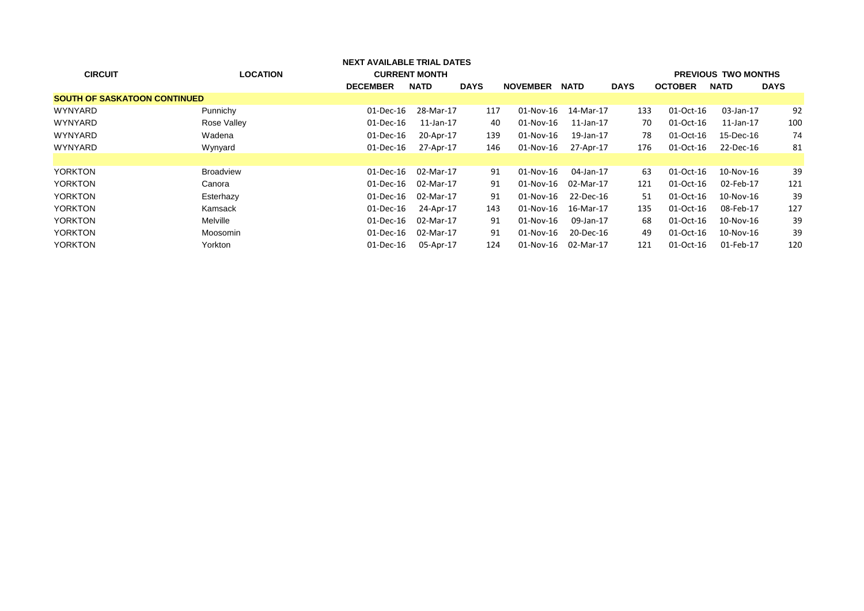| <b>NEXT AVAILABLE TRIAL DATES</b>   |                  |                 |                      |             |                 |             |             |                |                            |             |
|-------------------------------------|------------------|-----------------|----------------------|-------------|-----------------|-------------|-------------|----------------|----------------------------|-------------|
| <b>CIRCUIT</b>                      | <b>LOCATION</b>  |                 | <b>CURRENT MONTH</b> |             |                 |             |             |                | <b>PREVIOUS TWO MONTHS</b> |             |
|                                     |                  | <b>DECEMBER</b> | <b>NATD</b>          | <b>DAYS</b> | <b>NOVEMBER</b> | <b>NATD</b> | <b>DAYS</b> | <b>OCTOBER</b> | <b>NATD</b>                | <b>DAYS</b> |
| <b>SOUTH OF SASKATOON CONTINUED</b> |                  |                 |                      |             |                 |             |             |                |                            |             |
| <b>WYNYARD</b>                      | Punnichy         | 01-Dec-16       | 28-Mar-17            | 117         | 01-Nov-16       | 14-Mar-17   | 133         | 01-Oct-16      | 03-Jan-17                  | 92          |
| <b>WYNYARD</b>                      | Rose Valley      | $01$ -Dec-16    | $11$ -Jan- $17$      | 40          | 01-Nov-16       | 11-Jan-17   | 70          | 01-Oct-16      | $11$ -Jan- $17$            | 100         |
| <b>WYNYARD</b>                      | Wadena           | 01-Dec-16       | 20-Apr-17            | 139         | 01-Nov-16       | 19-Jan-17   | 78          | 01-Oct-16      | 15-Dec-16                  | 74          |
| <b>WYNYARD</b>                      | Wynyard          | 01-Dec-16       | 27-Apr-17            | 146         | 01-Nov-16       | 27-Apr-17   | 176         | 01-Oct-16      | 22-Dec-16                  | 81          |
|                                     |                  |                 |                      |             |                 |             |             |                |                            |             |
| <b>YORKTON</b>                      | <b>Broadview</b> | 01-Dec-16       | 02-Mar-17            | 91          | $01-Nov-16$     | 04-Jan-17   | 63          | 01-Oct-16      | $10$ -Nov- $16$            | 39          |
| <b>YORKTON</b>                      | Canora           | 01-Dec-16       | 02-Mar-17            | 91          | 01-Nov-16       | 02-Mar-17   | 121         | 01-Oct-16      | 02-Feb-17                  | 121         |
| <b>YORKTON</b>                      | Esterhazy        | 01-Dec-16       | 02-Mar-17            | 91          | 01-Nov-16       | 22-Dec-16   | 51          | 01-Oct-16      | 10-Nov-16                  | 39          |
| <b>YORKTON</b>                      | Kamsack          | 01-Dec-16       | 24-Apr-17            | 143         | 01-Nov-16       | 16-Mar-17   | 135         | 01-Oct-16      | 08-Feb-17                  | 127         |
| <b>YORKTON</b>                      | Melville         | 01-Dec-16       | 02-Mar-17            | 91          | 01-Nov-16       | 09-Jan-17   | 68          | 01-Oct-16      | 10-Nov-16                  | 39          |
| <b>YORKTON</b>                      | Moosomin         | 01-Dec-16       | 02-Mar-17            | 91          | 01-Nov-16       | 20-Dec-16   | 49          | 01-Oct-16      | $10$ -Nov- $16$            | 39          |
| <b>YORKTON</b>                      | Yorkton          | $01$ -Dec-16    | 05-Apr-17            | 124         | 01-Nov-16       | 02-Mar-17   | 121         | 01-Oct-16      | 01-Feb-17                  | 120         |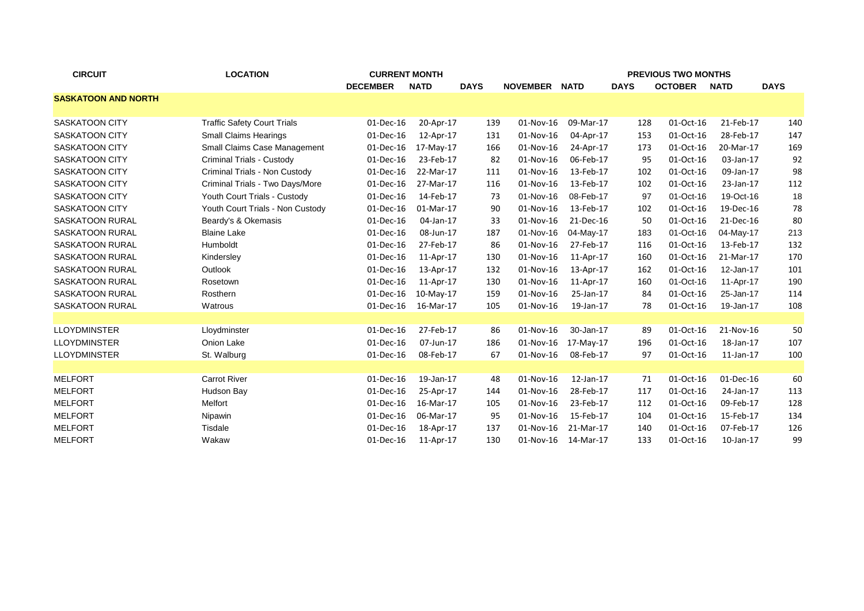| <b>CIRCUIT</b>             | <b>LOCATION</b>                    | <b>CURRENT MONTH</b> |              |             | <b>PREVIOUS TWO MONTHS</b> |             |             |                |                 |             |  |  |
|----------------------------|------------------------------------|----------------------|--------------|-------------|----------------------------|-------------|-------------|----------------|-----------------|-------------|--|--|
|                            |                                    | <b>DECEMBER</b>      | <b>NATD</b>  | <b>DAYS</b> | <b>NOVEMBER</b>            | <b>NATD</b> | <b>DAYS</b> | <b>OCTOBER</b> | <b>NATD</b>     | <b>DAYS</b> |  |  |
| <b>SASKATOON AND NORTH</b> |                                    |                      |              |             |                            |             |             |                |                 |             |  |  |
|                            |                                    |                      |              |             |                            |             |             |                |                 |             |  |  |
| <b>SASKATOON CITY</b>      | <b>Traffic Safety Court Trials</b> | 01-Dec-16            | 20-Apr-17    | 139         | 01-Nov-16                  | 09-Mar-17   | 128         | 01-Oct-16      | 21-Feb-17       | 140         |  |  |
| <b>SASKATOON CITY</b>      | <b>Small Claims Hearings</b>       | 01-Dec-16            | 12-Apr-17    | 131         | 01-Nov-16                  | 04-Apr-17   | 153         | 01-Oct-16      | 28-Feb-17       | 147         |  |  |
| SASKATOON CITY             | Small Claims Case Management       | 01-Dec-16            | 17-May-17    | 166         | 01-Nov-16                  | 24-Apr-17   | 173         | 01-Oct-16      | 20-Mar-17       | 169         |  |  |
| SASKATOON CITY             | Criminal Trials - Custody          | 01-Dec-16            | 23-Feb-17    | 82          | 01-Nov-16                  | 06-Feb-17   | 95          | 01-Oct-16      | 03-Jan-17       | 92          |  |  |
| SASKATOON CITY             | Criminal Trials - Non Custody      | 01-Dec-16            | 22-Mar-17    | 111         | 01-Nov-16                  | 13-Feb-17   | 102         | 01-Oct-16      | 09-Jan-17       | 98          |  |  |
| SASKATOON CITY             | Criminal Trials - Two Days/More    | 01-Dec-16            | 27-Mar-17    | 116         | 01-Nov-16                  | 13-Feb-17   | 102         | 01-Oct-16      | 23-Jan-17       | 112         |  |  |
| <b>SASKATOON CITY</b>      | Youth Court Trials - Custody       | 01-Dec-16            | 14-Feb-17    | -73         | 01-Nov-16                  | 08-Feb-17   | 97          | 01-Oct-16      | 19-Oct-16       | 18          |  |  |
| <b>SASKATOON CITY</b>      | Youth Court Trials - Non Custody   | 01-Dec-16            | 01-Mar-17    | 90          | 01-Nov-16                  | 13-Feb-17   | 102         | 01-Oct-16      | 19-Dec-16       | 78          |  |  |
| <b>SASKATOON RURAL</b>     | Beardy's & Okemasis                | 01-Dec-16            | 04-Jan-17    | 33          | 01-Nov-16                  | 21-Dec-16   | 50          | 01-Oct-16      | 21-Dec-16       | 80          |  |  |
| <b>SASKATOON RURAL</b>     | <b>Blaine Lake</b>                 | 01-Dec-16            | 08-Jun-17    | 187         | 01-Nov-16                  | 04-May-17   | 183         | 01-Oct-16      | 04-May-17       | 213         |  |  |
| <b>SASKATOON RURAL</b>     | Humboldt                           | 01-Dec-16            | 27-Feb-17    | 86          | 01-Nov-16                  | 27-Feb-17   | 116         | 01-Oct-16      | 13-Feb-17       | 132         |  |  |
| <b>SASKATOON RURAL</b>     | Kindersley                         | 01-Dec-16            | 11-Apr-17    | 130         | 01-Nov-16                  | 11-Apr-17   | 160         | 01-Oct-16      | 21-Mar-17       | 170         |  |  |
| <b>SASKATOON RURAL</b>     | Outlook                            | 01-Dec-16            | 13-Apr-17    | 132         | 01-Nov-16                  | 13-Apr-17   | 162         | 01-Oct-16      | 12-Jan-17       | 101         |  |  |
| <b>SASKATOON RURAL</b>     | Rosetown                           | 01-Dec-16            | 11-Apr-17    | 130         | 01-Nov-16                  | 11-Apr-17   | 160         | 01-Oct-16      | 11-Apr-17       | 190         |  |  |
| <b>SASKATOON RURAL</b>     | Rosthern                           | 01-Dec-16            | $10$ -May-17 | 159         | 01-Nov-16                  | 25-Jan-17   | 84          | 01-Oct-16      | 25-Jan-17       | 114         |  |  |
| <b>SASKATOON RURAL</b>     | Watrous                            | 01-Dec-16            | 16-Mar-17    | 105         | 01-Nov-16                  | 19-Jan-17   | 78          | 01-Oct-16      | 19-Jan-17       | 108         |  |  |
|                            |                                    |                      |              |             |                            |             |             |                |                 |             |  |  |
| <b>LLOYDMINSTER</b>        | Lloydminster                       | 01-Dec-16            | 27-Feb-17    | 86          | 01-Nov-16                  | 30-Jan-17   | 89          | 01-Oct-16      | 21-Nov-16       | 50          |  |  |
| <b>LLOYDMINSTER</b>        | Onion Lake                         | 01-Dec-16            | 07-Jun-17    | 186         | 01-Nov-16                  | 17-May-17   | 196         | 01-Oct-16      | 18-Jan-17       | 107         |  |  |
| <b>LLOYDMINSTER</b>        | St. Walburg                        | 01-Dec-16            | 08-Feb-17    | 67          | 01-Nov-16                  | 08-Feb-17   | 97          | 01-Oct-16      | $11$ -Jan- $17$ | 100         |  |  |
|                            |                                    |                      |              |             |                            |             |             |                |                 |             |  |  |
| <b>MELFORT</b>             | <b>Carrot River</b>                | 01-Dec-16            | 19-Jan-17    | 48          | 01-Nov-16                  | 12-Jan-17   | 71          | 01-Oct-16      | 01-Dec-16       | 60          |  |  |
| <b>MELFORT</b>             | Hudson Bay                         | 01-Dec-16            | 25-Apr-17    | 144         | 01-Nov-16                  | 28-Feb-17   | 117         | 01-Oct-16      | 24-Jan-17       | 113         |  |  |
| <b>MELFORT</b>             | Melfort                            | 01-Dec-16            | 16-Mar-17    | 105         | 01-Nov-16                  | 23-Feb-17   | 112         | 01-Oct-16      | 09-Feb-17       | 128         |  |  |
| <b>MELFORT</b>             | Nipawin                            | 01-Dec-16            | 06-Mar-17    | 95          | 01-Nov-16                  | 15-Feb-17   | 104         | 01-Oct-16      | 15-Feb-17       | 134         |  |  |
| <b>MELFORT</b>             | Tisdale                            | 01-Dec-16            | 18-Apr-17    | 137         | 01-Nov-16                  | 21-Mar-17   | 140         | 01-Oct-16      | 07-Feb-17       | 126         |  |  |
| <b>MELFORT</b>             | Wakaw                              | 01-Dec-16            | 11-Apr-17    | 130         | 01-Nov-16                  | 14-Mar-17   | 133         | 01-Oct-16      | $10$ -Jan- $17$ | 99          |  |  |